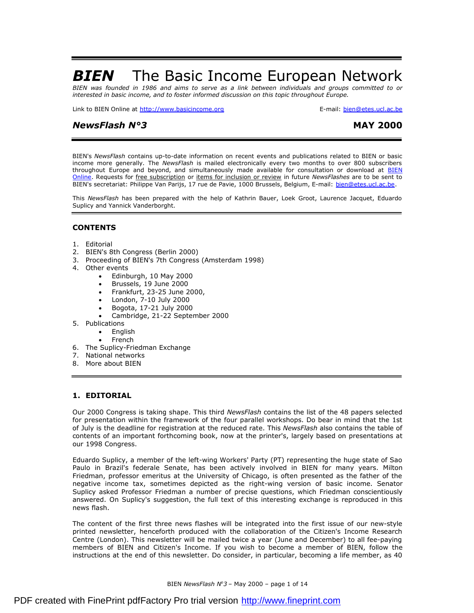# **BIEN** The Basic Income European Network

BIEN was founded in 1986 and aims to serve as a link between individuals and groups committed to or *interested in basic income, and to foster informed discussion on this topic throughout Europe.* 

Link to BIEN Online at <http://www.basicincome.org> **E-mail:** [bien@etes.ucl.ac.be](mailto:bien@etes.ucl.ac.be)

# *NewsFlash N°3* **MAY 2000**

BIEN's *NewsFlash* contains up-to-date information on recent events and publications related to BIEN or basic income more generally. The *NewsFlash* is mailed electronically every two months to over 800 subscribers throughout Europe and beyond, and simultaneously made available for consultation or download at **BIEN** Online. Requests for free subscription or items for inclusion or review in future *NewsFlashes* are to be sent to BIEN's secretariat: Philippe Van Parijs, 17 rue de Pavie, 1000 Brussels, Belgium, E-mail: [bien@etes.ucl.ac.be](mailto:bien@etes.ucl.ac.be).

This *NewsFlash* has been prepared with the help of Kathrin Bauer, Loek Groot, Laurence Jacquet, Eduardo Suplicy and Yannick Vanderborght.

# **CONTENTS**

- 1. Editorial
- 2. BIEN's 8th Congress (Berlin 2000)
- 3. Proceeding of BIEN's 7th Congress (Amsterdam 1998)
- 4. Other events
	- Edinburgh, 10 May 2000
	- · Brussels, 19 June 2000
	- · Frankfurt, 23-25 June 2000,
	- · London, 7-10 July 2000
	- · Bogota, 17-21 July 2000
	- · Cambridge, 21-22 September 2000
- 5. Publications
	- · English
	- **French**
- 6. The Suplicy-Friedman Exchange
- 7. National networks
- 8. More about BIEN

# **1. EDITORIAL**

Our 2000 Congress is taking shape. This third *NewsFlash* contains the list of the 48 papers selected for presentation within the framework of the four parallel workshops. Do bear in mind that the 1st of July is the deadline for registration at the reduced rate. This *NewsFlash* also contains the table of contents of an important forthcoming book, now at the printer's, largely based on presentations at our 1998 Congress.

Eduardo Suplicy, a member of the left-wing Workers' Party (PT) representing the huge state of Sao Paulo in Brazil's federale Senate, has been actively involved in BIEN for many years. Milton Friedman, professor emeritus at the University of Chicago, is often presented as the father of the negative income tax, sometimes depicted as the right-wing version of basic income. Senator Suplicy asked Professor Friedman a number of precise questions, which Friedman conscientiously answered. On Suplicy's suggestion, the full text of this interesting exchange is reproduced in this news flash.

The content of the first three news flashes will be integrated into the first issue of our new-style printed newsletter, henceforth produced with the collaboration of the Citizen's Income Research Centre (London). This newsletter will be mailed twice a year (June and December) to all fee-paying members of BIEN and Citizen's Income. If you wish to become a member of BIEN, follow the instructions at the end of this newsletter. Do consider, in particular, becoming a life member, as 40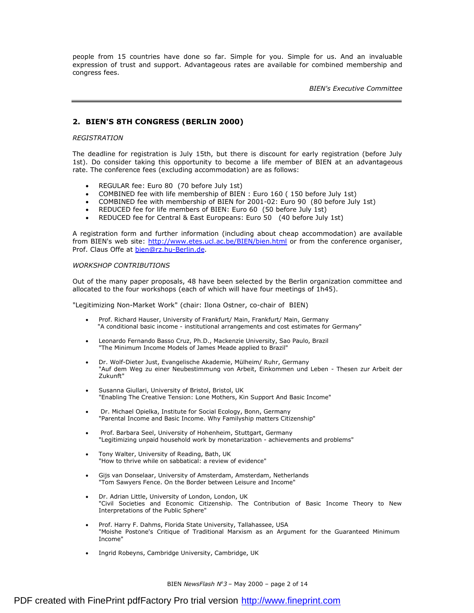people from 15 countries have done so far. Simple for you. Simple for us. And an invaluable expression of trust and support. Advantageous rates are available for combined membership and congress fees.

*BIEN's Executive Committee* 

# **2. BIEN'S 8TH CONGRESS (BERLIN 2000)**

#### *REGISTRATION*

The deadline for registration is July 15th, but there is discount for early registration (before July 1st). Do consider taking this opportunity to become a life member of BIEN at an advantageous rate. The conference fees (excluding accommodation) are as follows:

- REGULAR fee: Euro 80 (70 before July 1st)
- · COMBINED fee with life membership of BIEN : Euro 160 ( 150 before July 1st)
- · COMBINED fee with membership of BIEN for 2001-02: Euro 90 (80 before July 1st)
- · REDUCED fee for life members of BIEN: Euro 60 (50 before July 1st)
- · REDUCED fee for Central & East Europeans: Euro 50 (40 before July 1st)

A registration form and further information (including about cheap accommodation) are available from BIEN's web site: <http://www.etes.ucl.ac.be/BIEN/bien.html> or from the conference organiser, Prof. Claus Offe at [bien@rz.hu-Berlin.de](mailto:bien@rz.hu-Berlin.de).

#### *WORKSHOP CONTRIBUTIONS*

Out of the many paper proposals, 48 have been selected by the Berlin organization committee and allocated to the four workshops (each of which will have four meetings of 1h45).

"Legitimizing Non-Market Work" (chair: Ilona Ostner, co-chair of BIEN)

- Prof. Richard Hauser, University of Frankfurt/ Main, Frankfurt/ Main, Germany "A conditional basic income - institutional arrangements and cost estimates for Germany"
- Leonardo Fernando Basso Cruz, Ph.D., Mackenzie University, Sao Paulo, Brazil "The Minimum Income Models of James Meade applied to Brazil"
- · Dr. Wolf-Dieter Just, Evangelische Akademie, Mülheim/ Ruhr, Germany "Auf dem Weg zu einer Neubestimmung von Arbeit, Einkommen und Leben - Thesen zur Arbeit der Zukunft"
- Susanna Giullari, University of Bristol, Bristol, UK "Enabling The Creative Tension: Lone Mothers, Kin Support And Basic Income"
- · Dr. Michael Opielka, Institute for Social Ecology, Bonn, Germany "Parental Income and Basic Income. Why Familyship matters Citizenship"
- Prof. Barbara Seel, University of Hohenheim, Stuttgart, Germany "Legitimizing unpaid household work by monetarization - achievements and problems"
- · Tony Walter, University of Reading, Bath, UK "How to thrive while on sabbatical: a review of evidence"
- · Gijs van Donselaar, University of Amsterdam, Amsterdam, Netherlands "Tom Sawyers Fence. On the Border between Leisure and Income"
- Dr. Adrian Little, University of London, London, UK "Civil Societies and Economic Citizenship. The Contribution of Basic Income Theory to New Interpretations of the Public Sphere"
- Prof. Harry F. Dahms, Florida State University, Tallahassee, USA "Moishe Postone's Critique of Traditional Marxism as an Argument for the Guaranteed Minimum Income"
- Ingrid Robeyns, Cambridge University, Cambridge, UK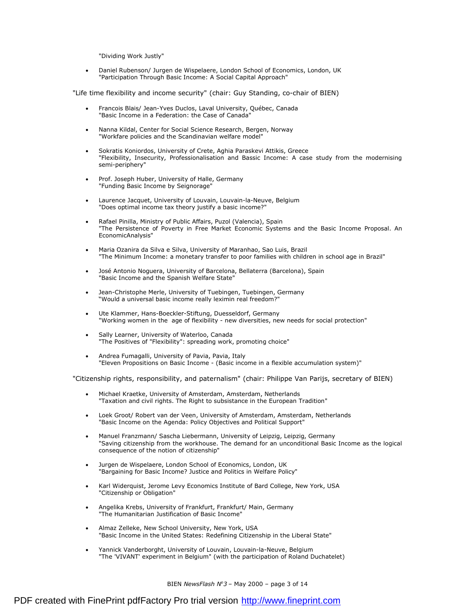"Dividing Work Justly"

· Daniel Rubenson/ Jurgen de Wispelaere, London School of Economics, London, UK "Participation Through Basic Income: A Social Capital Approach"

"Life time flexibility and income security" (chair: Guy Standing, co-chair of BIEN)

- Francois Blais/ Jean-Yves Duclos, Laval University, Québec, Canada "Basic Income in a Federation: the Case of Canada"
- · Nanna Kildal, Center for Social Science Research, Bergen, Norway "Workfare policies and the Scandinavian welfare model"
- Sokratis Koniordos, University of Crete, Aghia Paraskevi Attikis, Greece "Flexibility, Insecurity, Professionalisation and Bassic Income: A case study from the modernising semi-periphery"
- Prof. Joseph Huber, University of Halle, Germany "Funding Basic Income by Seignorage"
- · Laurence Jacquet, University of Louvain, Louvain-la-Neuve, Belgium "Does optimal income tax theory justify a basic income?"
- Rafael Pinilla, Ministry of Public Affairs, Puzol (Valencia), Spain "The Persistence of Poverty in Free Market Economic Systems and the Basic Income Proposal. An EconomicAnalysis"
- · Maria Ozanira da Silva e Silva, University of Maranhao, Sao Luis, Brazil "The Minimum Income: a monetary transfer to poor families with children in school age in Brazil"
- José Antonio Noguera, University of Barcelona, Bellaterra (Barcelona), Spain "Basic Income and the Spanish Welfare State"
- Jean-Christophe Merle, University of Tuebingen, Tuebingen, Germany "Would a universal basic income really leximin real freedom?"
- · Ute Klammer, Hans-Boeckler-Stiftung, Duesseldorf, Germany "Working women in the age of flexibility - new diversities, new needs for social protection"
- Sally Learner, University of Waterloo, Canada "The Positives of "Flexibility": spreading work, promoting choice"
- · Andrea Fumagalli, University of Pavia, Pavia, Italy "Eleven Propositions on Basic Income - (Basic income in a flexible accumulation system)"

"Citizenship rights, responsibility, and paternalism" (chair: Philippe Van Parijs, secretary of BIEN)

- Michael Kraetke, University of Amsterdam, Amsterdam, Netherlands "Taxation and civil rights. The Right to subsistance in the European Tradition"
- Loek Groot/ Robert van der Veen, University of Amsterdam, Amsterdam, Netherlands "Basic Income on the Agenda: Policy Objectives and Political Support"
- · Manuel Franzmann/ Sascha Liebermann, University of Leipzig, Leipzig, Germany "Saving citizenship from the workhouse. The demand for an unconditional Basic Income as the logical consequence of the notion of citizenship"
- Jurgen de Wispelaere, London School of Economics, London, UK "Bargaining for Basic Income? Justice and Politics in Welfare Policy"
- Karl Widerquist, Jerome Levy Economics Institute of Bard College, New York, USA "Citizenship or Obligation"
- · Angelika Krebs, University of Frankfurt, Frankfurt/ Main, Germany "The Humanitarian Justification of Basic Income"
- · Almaz Zelleke, New School University, New York, USA "Basic Income in the United States: Redefining Citizenship in the Liberal State"
- · Yannick Vanderborght, University of Louvain, Louvain-la-Neuve, Belgium "The 'VIVANT' experiment in Belgium" (with the participation of Roland Duchatelet)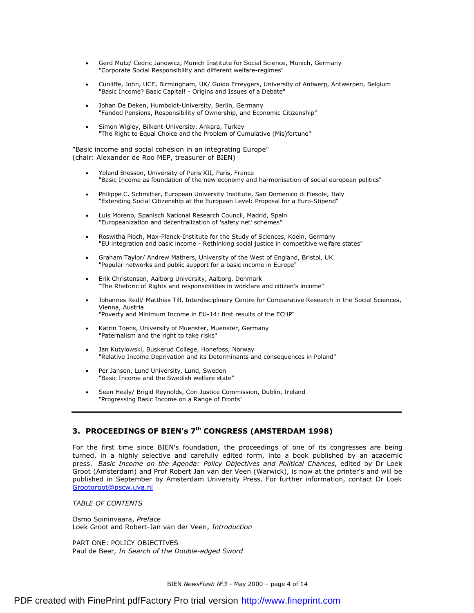- Gerd Mutz/ Cedric Janowicz, Munich Institute for Social Science, Munich, Germany "Corporate Social Responsibility and different welfare-regimes"
- · Cunliffe, John, UCE, Birmingham, UK/ Guido Erreygers, University of Antwerp, Antwerpen, Belgium "Basic Income? Basic Capital! - Origins and Issues of a Debate"
- Johan De Deken, Humboldt-University, Berlin, Germany "Funded Pensions, Responsibility of Ownership, and Economic Citizenship"
- · Simon Wigley, Bilkent-University, Ankara, Turkey "The Right to Equal Choice and the Problem of Cumulative (Mis)fortune"

"Basic income and social cohesion in an integrating Europe" (chair: Alexander de Roo MEP, treasurer of BIEN)

- · Yoland Bresson, University of Paris XII, Paris, France "Basic Income as foundation of the new economy and harmonisation of social european politics"
- · Philippe C. Schmitter, European University Institute, San Domenico di Fiesole, Italy "Extending Social Citizenship at the European Level: Proposal for a Euro-Stipend"
- · Luis Moreno, Spanisch National Research Council, Madrid, Spain "Europeanization and decentralization of 'safety net' schemes"
- · Roswitha Pioch, Max-Planck-Institute for the Study of Sciences, Koeln, Germany "EU integration and basic income - Rethinking social justice in competitive welfare states"
- · Graham Taylor/ Andrew Mathers, University of the West of England, Bristol, UK "Popular networks and public support for a basic income in Europe"
- · Erik Christensen, Aalborg University, Aalborg, Denmark "The Rhetoric of Rights and responsibilities in workfare and citizen's income"
- Johannes Redl/ Matthias Till, Interdisciplinary Centre for Comparative Research in the Social Sciences, Vienna, Austria "Poverty and Minimum Income in EU-14: first results of the ECHP"
- Katrin Toens, University of Muenster, Muenster, Germany "Paternalism and the right to take risks"
- Jan Kutylowski, Buskerud College, Honefoss, Norway "Relative Income Deprivation and its Determinants and consequences in Poland"
- Per Janson, Lund University, Lund, Sweden "Basic Income and the Swedish welfare state"
- Sean Healy/ Brigid Reynolds, Cori Justice Commission, Dublin, Ireland "Progressing Basic Income on a Range of Fronts"

# **3. PROCEEDINGS OF BIEN's 7th CONGRESS (AMSTERDAM 1998)**

For the first time since BIEN's foundation, the proceedings of one of its congresses are being turned, in a highly selective and carefully edited form, into a book published by an academic press. *Basic Income on the Agenda: Policy Objectives and Political Chances*, edited by Dr Loek Groot (Amsterdam) and Prof Robert Jan van der Veen (Warwick), is now at the printer's and will be published in September by Amsterdam University Press. For further information, contact Dr Loek [Grootgroot@pscw.uva.nl](mailto:Grootgroot@pscw.uva.nl)

*TABLE OF CONTENTS* 

Osmo Soininvaara, *Preface*  Loek Groot and Robert-Jan van der Veen, *Introduction* 

PART ONE: POLICY OBJECTIVES Paul de Beer, *In Search of the Double-edged Sword*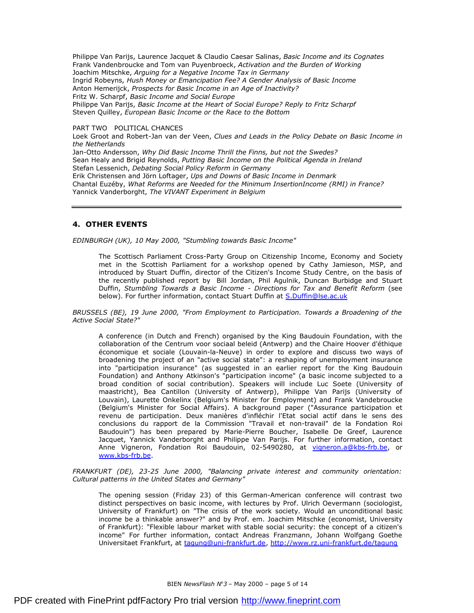Philippe Van Parijs, Laurence Jacquet & Claudio Caesar Salinas, *Basic Income and its Cognates*  Frank Vandenbroucke and Tom van Puyenbroeck, *Activation and the Burden of Working*  Joachim Mitschke, *Arguing for a Negative Income Tax in Germany*  Ingrid Robeyns, *Hush Money or Emancipation Fee? A Gender Analysis of Basic Income* Anton Hemerijck, *Prospects for Basic Income in an Age of Inactivity?*  Fritz W. Scharpf, *Basic Income and Social Europe* Philippe Van Parijs, *Basic Income at the Heart of Social Europe? Reply to Fritz Scharpf*  Steven Quilley, *European Basic Income or the Race to the Bottom* 

PART TWO POLITICAL CHANCES Loek Groot and Robert-Jan van der Veen, *Clues and Leads in the Policy Debate on Basic Income in the Netherlands*  Jan-Otto Andersson, *Why Did Basic Income Thrill the Finns, but not the Swedes?* Sean Healy and Brigid Reynolds, *Putting Basic Income on the Political Agenda in Ireland*  Stefan Lessenich, *Debating Social Policy Reform in Germany*  Erik Christensen and Jörn Loftager, *Ups and Downs of Basic Income in Denmark* Chantal Euzéby, *What Reforms are Needed for the Minimum InsertionIncome (RMI) in France?*  Yannick Vanderborght, *The VIVANT Experiment in Belgium* 

### **4. OTHER EVENTS**

*EDINBURGH (UK), 10 May 2000, "Stumbling towards Basic Income"* 

The Scottisch Parliament Cross-Party Group on Citizenship Income, Economy and Society met in the Scottish Parliament for a workshop opened by Cathy Jamieson, MSP, and introduced by Stuart Duffin, director of the Citizen's Income Study Centre, on the basis of the recently published report by Bill Jordan, Phil Agulnik, Duncan Burbidge and Stuart Duffin, *Stumbling Towards a Basic Income - Directions for Tax and Benefit Reform* (see below). For further information, contact Stuart Duffin at [S.Duffin@lse.ac.uk](mailto:S.Duffin@lse.ac.uk)

*BRUSSELS (BE), 19 June 2000, "From Employment to Participation. Towards a Broadening of the Active Social State?"* 

A conference (in Dutch and French) organised by the King Baudouin Foundation, with the collaboration of the Centrum voor sociaal beleid (Antwerp) and the Chaire Hoover d'éthique économique et sociale (Louvain-la-Neuve) in order to explore and discuss two ways of broadening the project of an "active social state": a reshaping of unemployment insurance into "participation insurance" (as suggested in an earlier report for the King Baudouin Foundation) and Anthony Atkinson's "participation income" (a basic income subjected to a broad condition of social contribution). Speakers will include Luc Soete (University of maastricht), Bea Cantillon (University of Antwerp), Philippe Van Parijs (University of Louvain), Laurette Onkelinx (Belgium's Minister for Employment) and Frank Vandebroucke (Belgium's Minister for Social Affairs). A background paper ("Assurance participation et revenu de participation. Deux manières d'infléchir l'Etat social actif dans le sens des conclusions du rapport de la Commission "Travail et non-travail" de la Fondation Roi Baudouin") has been prepared by Marie-Pierre Boucher, Isabelle De Greef, Laurence Jacquet, Yannick Vanderborght and Philippe Van Parijs. For further information, contact Anne Vigneron, Fondation Roi Baudouin, 02-5490280, at [vigneron.a@kbs-frb.be,](mailto:vigneron.a@kbs-frb.be) or [www.kbs-frb.be](http://www.kbs-frb.be).

*FRANKFURT (DE), 23-25 June 2000, "Balancing private interest and community orientation: Cultural patterns in the United States and Germany"* 

The opening session (Friday 23) of this German-American conference will contrast two distinct perspectives on basic income, with lectures by Prof. Ulrich Oevermann (sociologist, University of Frankfurt) on "The crisis of the work society. Would an unconditional basic income be a thinkable answer?" and by Prof. em. Joachim Mitschke (economist, University of Frankfurt): "Flexible labour market with stable social security: the concept of a citizen's income" For further information, contact Andreas Franzmann, Johann Wolfgang Goethe Universitaet Frankfurt, at [tagung@uni-frankfurt.de](mailto:tagung@uni-frankfurt.de), <http://www.rz.uni-frankfurt.de/tagung>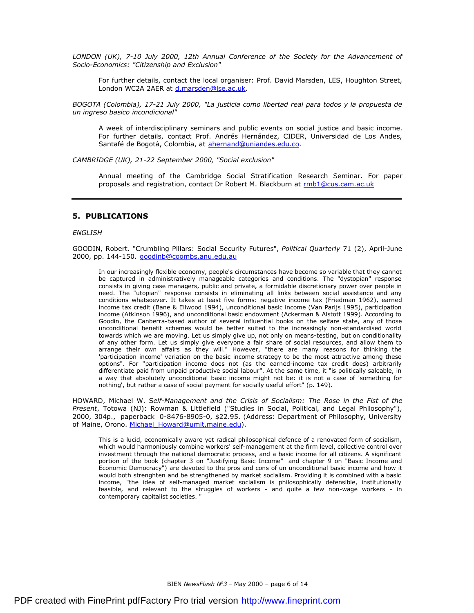*LONDON (UK), 7-10 July 2000, 12th Annual Conference of the Society for the Advancement of Socio-Economics: "Citizenship and Exclusion"* 

For further details, contact the local organiser: Prof. David Marsden, LES, Houghton Street, London WC2A 2AER at [d.marsden@lse.ac.uk](mailto:d.marsden@lse.ac.uk).

*BOGOTA (Colombia), 17-21 July 2000, "La justicia como libertad real para todos y la propuesta de un ingreso basico incondicional"* 

A week of interdisciplinary seminars and public events on social justice and basic income. For further details, contact Prof. Andrés Hernández, CIDER, Universidad de Los Andes, Santafé de Bogotá, Colombia, at [ahernand@uniandes.edu.co.](mailto:ahernand@uniandes.edu.co)

*CAMBRIDGE (UK), 21-22 September 2000, "Social exclusion"* 

Annual meeting of the Cambridge Social Stratification Research Seminar. For paper proposals and registration, contact Dr Robert M. Blackburn at [rmb1@cus.cam.ac.uk](mailto:rmb1@cus.cam.ac.uk)

### **5. PUBLICATIONS**

#### *ENGLISH*

GOODIN, Robert. "Crumbling Pillars: Social Security Futures", *Political Quarterly* 71 (2), April-June 2000, pp. 144-150. [goodinb@coombs.anu.edu.au](mailto:goodinb@coombs.anu.edu.au)

In our increasingly flexible economy, people's circumstances have become so variable that they cannot be captured in administratively manageable categories and conditions. The "dystopian" response consists in giving case managers, public and private, a formidable discretionary power over people in need. The "utopian" response consists in eliminating all links between social assistance and any conditions whatsoever. It takes at least five forms: negative income tax (Friedman 1962), earned income tax credit (Bane & Ellwood 1994), unconditional basic income (Van Parijs 1995), participation income (Atkinson 1996), and unconditional basic endowment (Ackerman & Alstott 1999). According to Goodin, the Canberra-based author of several influential books on the selfare state, any of those unconditional benefit schemes would be better suited to the increasingly non-standardised world towards which we are moving. Let us simply give up, not only on means-testing, but on conditionality of any other form. Let us simply give everyone a fair share of social resources, and allow them to arrange their own affairs as they will." However, "there are many reasons for thinking the 'participation income' variation on the basic income strategy to be the most attractive among these options". For "participation income does not (as the earned-income tax credit does) arbitrarily differentiate paid from unpaid productive social labour". At the same time, it "is politically saleable, in a way that absolutely unconditional basic income might not be: it is not a case of 'something for nothing', but rather a case of social payment for socially useful effort" (p. 149).

HOWARD, Michael W. S*elf-Management and the Crisis of Socialism: The Rose in the Fist of the Present*, Totowa (NJ): Rowman & Littlefield ("Studies in Social, Political, and Legal Philosophy"), 2000, 304p., paperback 0-8476-8905-0, \$22.95. (Address: Department of Philosophy, University of Maine, Orono. Michael Howard@umit.maine.edu).

This is a lucid, economically aware yet radical philosophical defence of a renovated form of socialism, which would harmoniously combine workers' self-management at the firm level, collective control over investment through the national democratic process, and a basic income for all citizens. A significant portion of the book (chapter 3 on "Justifying Basic Income" and chapter 9 on "Basic Income and Economic Democracy") are devoted to the pros and cons of un unconditional basic income and how it would both strenghten and be strengthened by market socialism. Providing it is combined with a basic income, "the idea of self-managed market socialism is philosophically defensible, institutionally feasible, and relevant to the struggles of workers - and quite a few non-wage workers - in contemporary capitalist societies. "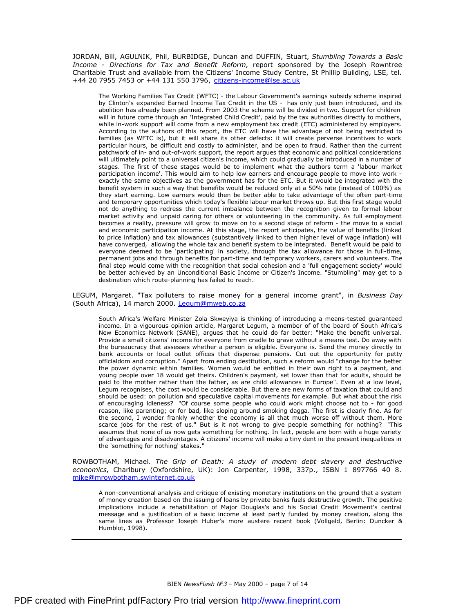JORDAN, Bill, AGULNIK, Phil, BURBIDGE, Duncan and DUFFIN, Stuart, *Stumbling Towards a Basic Income - Directions for Tax and Benefit Reform*, report sponsored by the Joseph Rowntree Charitable Trust and available from the Citizens' Income Study Centre, St Phillip Building, LSE, tel. +44 20 7955 7453 or +44 131 550 3796, [citizens-income@lse.ac.uk](mailto:citizens-income@lse.ac.uk)

The Working Families Tax Credit (WFTC) - the Labour Government's earnings subsidy scheme inspired by Clinton's expanded Earned Income Tax Credit in the US - has only just been introduced, and its abolition has already been planned. From 2003 the scheme will be divided in two. Support for children will in future come through an 'Integrated Child Credit', paid by the tax authorities directly to mothers, while in-work support will come from a new employment tax credit (ETC) administered by employers. According to the authors of this report, the ETC will have the advantage of not being restricted to families (as WFTC is), but it will share its other defects: it will create perverse incentives to work particular hours, be difficult and costly to administer, and be open to fraud. Rather than the current patchwork of in- and out-of-work support, the report argues that economic and political considerations will ultimately point to a universal citizen's income, which could gradually be introduced in a number of stages. The first of these stages would be to implement what the authors term a 'labour market participation income'. This would aim to help low earners and encourage people to move into work exactly the same objectives as the government has for the ETC. But it would be integrated with the benefit system in such a way that benefits would be reduced only at a 50% rate (instead of 100%) as they start earning. Low earners would then be better able to take advantage of the often part-time and temporary opportunities which today's flexible labour market throws up. But this first stage would not do anything to redress the current imbalance between the recognition given to formal labour market activity and unpaid caring for others or volunteering in the community. As full employment becomes a reality, pressure will grow to move on to a second stage of reform - the move to a social and economic participation income. At this stage, the report anticipates, the value of benefits (linked to price inflation) and tax allowances (substantively linked to then higher level of wage inflation) will have converged, allowing the whole tax and benefit system to be integrated. Benefit would be paid to everyone deemed to be 'participating' in society, through the tax allowance for those in full-time, permanent jobs and through benefits for part-time and temporary workers, carers and volunteers. The final step would come with the recognition that social cohesion and a 'full engagement society' would be better achieved by an Unconditional Basic Income or Citizen's Income. "Stumbling" may get to a destination which route-planning has failed to reach.

LEGUM, Margaret. "Tax polluters to raise money for a general income grant", in *Business Day*  (South Africa), 14 march 2000. [Legum@mweb.co.za](mailto:Legum@mweb.co.za)

South Africa's Welfare Minister Zola Skweyiya is thinking of introducing a means-tested guaranteed income. In a vigourous opinion article, Margaret Legum, a member of of the board of South Africa's New Economics Network (SANE), argues that he could do far better: "Make the benefit universal. Provide a small citizens' income for everyone from cradle to grave without a means test. Do away with the bureaucracy that assesses whether a person is eligible. Everyone is. Send the money directly to bank accounts or local outlet offices that dispense pensions. Cut out the opportunity for petty officialdom and corruption." Apart from ending destitution, such a reform would "change for the better the power dynamic within families. Women would be entitled in their own right to a payment, and young people over 18 would get theirs. Children's payment, set lower than that for adults, should be paid to the mother rather than the father, as are child allowances in Europe". Even at a low level, Legum recognises, the cost would be considerable. But there are new forms of taxation that could and should be used: on pollution and speculative capital movements for example. But what about the risk of encouraging idleness? "Of course some people who could work might choose not to - for good reason, like parenting; or for bad, like sloping around smoking dagga. The first is clearly fine. As for the second, I wonder frankly whether the economy is all that much worse off without them. More scarce jobs for the rest of us." But is it not wrong to give people something for nothing? "This assumes that none of us now gets something for nothing. In fact, people are born with a huge variety of advantages and disadvantages. A citizens' income will make a tiny dent in the present inequalities in the 'something for nothing' stakes."

ROWBOTHAM, Michael. *The Grip of Death: A study of modern debt slavery and destructive economics*, Charlbury (Oxfordshire, UK): Jon Carpenter, 1998, 337p., ISBN 1 897766 40 8. [mike@mrowbotham.swinternet.co.uk](mailto:mike@mrowbotham.swinternet.co.uk)

A non-conventional analysis and critique of existing monetary institutions on the ground that a system of money creation based on the issuing of loans by private banks fuels destructive growth. The positive implications include a rehabilitation of Major Douglas's and his Social Credit Movement's central message and a justification of a basic income at least partly funded by money creation, along the same lines as Professor Joseph Huber's more austere recent book (Vollgeld, Berlin: Duncker & Humblot, 1998).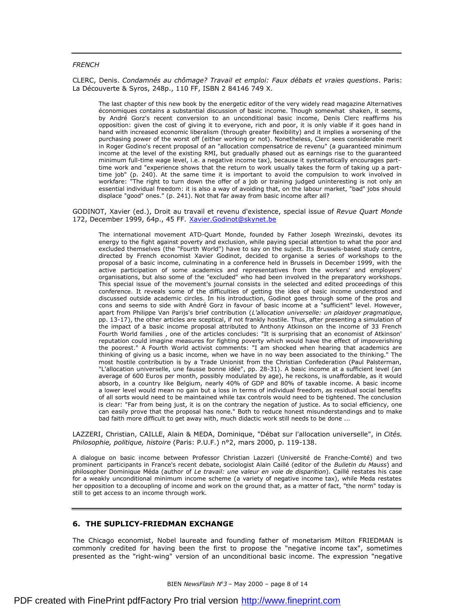#### *FRENCH*

CLERC, Denis. *Condamnés au chômage? Travail et emploi: Faux débats et vraies questions*. Paris: La Découverte & Syros, 248p., 110 FF, ISBN 2 84146 749 X.

The last chapter of this new book by the energetic editor of the very widely read magazine Alternatives économiques contains a substantial discussion of basic income. Though somewhat shaken, it seems, by André Gorz's recent conversion to an unconditional basic income, Denis Clerc reaffirms his opposition: given the cost of giving it to everyone, rich and poor, it is only viable if it goes hand in hand with increased economic liberalism (through greater flexibility) and it implies a worsening of the purchasing power of the worst off (either working or not). Nonetheless, Clerc sees considerable merit in Roger Godino's recent proposal of an "allocation compensatrice de revenu" (a guaranteed minimum income at the level of the existing RMI, but gradually phased out as earnings rise to the guaranteed minimum full-time wage level, i.e. a negative income tax), because it systematically encourages parttime work and "experience shows that the return to work usually takes the form of taking up a parttime job" (p. 240). At the same time it is important to avoid the compulsion to work involved in workfare: "The right to turn down the offer of a job or training judged uninteresting is not only an essential individual freedom: it is also a way of avoiding that, on the labour market, "bad" jobs should displace "good" ones." (p. 241). Not that far away from basic income after all?

GODINOT, Xavier (ed.), Droit au travail et revenu d'existence, special issue of *Revue Quart Monde*  172, December 1999, 64p., 45 FF. Xavier. Godinot@skynet.be

The international movement ATD-Quart Monde, founded by Father Joseph Wrezinski, devotes its energy to the fight against poverty and exclusion, while paying special attention to what the poor and excluded themselves (the "Fourth World") have to say on the suject. Its Brussels-based study centre, directed by French economist Xavier Godinot, decided to organise a series of workshops to the proposal of a basic income, culminating in a conference held in Brussels in December 1999, with the active participation of some academics and representatives from the workers' and employers' organisations, but also some of the "excluded" who had been involved in the preparatory workshops. This special issue of the movement's journal consists in the selected and edited proceedings of this conference. It reveals some of the difficulties of getting the idea of basic income understood and discussed outside academic circles. In his introduction, Godinot goes through some of the pros and cons and seems to side with André Gorz in favour of basic income at a "sufficient" level. However, apart from Philippe Van Parijs's brief contribution (*L'allocation universelle: un plaidoyer pragmatique*, pp. 13-17), the other articles are sceptical, if not frankly hostile. Thus, after presenting a simulation of the impact of a basic income proposal attributed to Anthony Atkinson on the income of 33 French Fourth World families , one of the articles concludes: "It is surprising that an economist of Atkinson' reputation could imagine measures for fighting poverty which would have the effect of impoverishing the poorest." A Fourth World activist comments: "I am shocked when hearing that academics are thinking of giving us a basic income, when we have in no way been associated to the thinking." The most hostile contribution is by a Trade Unionist from the Christian Confederation (Paul Palsterman, "L'allocation universelle, une fausse bonne idée", pp. 28-31). A basic income at a sufficient level (an average of 600 Euros per month, possibly modulated by age), he reckons, is unaffordable, as it would absorb, in a country like Belgium, nearly 40% of GDP and 80% of taxable income. A basic income a lower level would mean no gain but a loss in terms of individual freedom, as residual social benefits of all sorts would need to be maintained while tax controls would need to be tightened. The conclusion is clear: "Far from being just, it is on the contrary the negation of justice. As to social efficiency, one can easily prove that the proposal has none." Both to reduce honest misunderstandings and to make bad faith more difficult to get away with, much didactic work still needs to be done ...

LAZZERI, Christian, CAILLE, Alain & MEDA, Dominique, "Débat sur l'allocation universelle", in *Cités. Philosophie, politique, histoire* (Paris: P.U.F.) n°2, mars 2000, p. 119-138.

A dialogue on basic income between Professor Christian Lazzeri (Université de Franche-Comté) and two prominent participants in France's recent debate, sociologist Alain Caillé (editor of the *Bulletin du Mauss*) and philosopher Dominique Méda (author of *Le travail: une valeur en voie de disparition*). Caillé restates his case for a weakly unconditional minimum income scheme (a variety of negative income tax), while Meda restates her opposition to a decoupling of income and work on the ground that, as a matter of fact, "the norm" today is still to get access to an income through work.

## **6. THE SUPLICY-FRIEDMAN EXCHANGE**

The Chicago economist, Nobel laureate and founding father of monetarism Milton FRIEDMAN is commonly credited for having been the first to propose the "negative income tax", sometimes presented as the "right-wing" version of an unconditional basic income. The expression "negative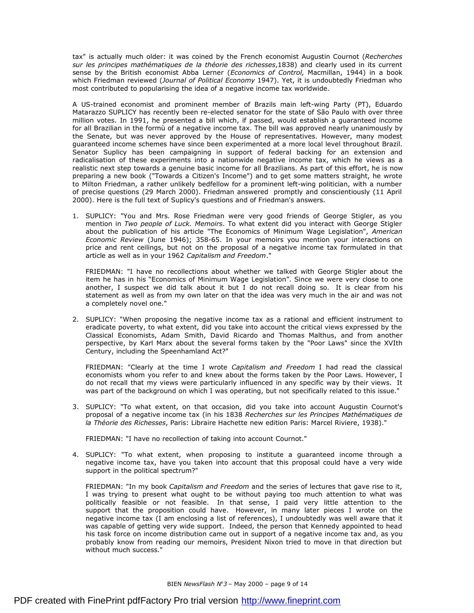tax" is actually much older: it was coined by the French economist Augustin Cournot (*Recherches sur les principes mathématiques de la théorie des richesses*,1838) and clearly used in its current sense by the British economist Abba Lerner (*Economics of Control,* Macmillan, 1944) in a book which Friedman reviewed (*Journal of Political Economy* 1947). Yet, it is undoubtedly Friedman who most contributed to popularising the idea of a negative income tax worldwide.

A US-trained economist and prominent member of Brazils main left-wing Party (PT), Eduardo Matarazzo SUPLICY has recently been re-elected senator for the state of São Paulo with over three million votes. In 1991, he presented a bill which, if passed, would establish a guaranteed income for all Brazilian in the formù of a negative income tax. The bill was approved nearly unanimously by the Senate, but was never approved by the House of representatives. However, many modest guaranteed income schemes have since been experimented at a more local level throughout Brazil. Senator Suplicy has been campaigning in support of federal backing for an extension and radicalisation of these experiments into a nationwide negative income tax, which he views as a realistic next step towards a genuine basic income for all Brazilians. As part of this effort, he is now preparing a new book ("Towards a Citizen's Income") and to get some matters straight, he wrote to Milton Friedman, a rather unlikely bedfellow for a prominent left-wing politician, with a number of precise questions (29 March 2000). Friedman answered promptly and conscientiously (11 April 2000). Here is the full text of Suplicy's questions and of Friedman's answers.

1. SUPLICY: "You and Mrs. Rose Friedman were very good friends of George Stigler, as you mention in *Two people of Luck. Memoirs*. To what extent did you interact with George Stigler about the publication of his article "The Economics of Minimum Wage Legislation", *American Economic Review* (June 1946); 358-65. In your memoirs you mention your interactions on price and rent ceilings, but not on the proposal of a negative income tax formulated in that article as well as in your 1962 *Capitalism and Freedom*."

FRIEDMAN: "I have no recollections about whether we talked with George Stigler about the item he has in his "Economics of Minimum Wage Legislation". Since we were very close to one another, I suspect we did talk about it but I do not recall doing so. It is clear from his statement as well as from my own later on that the idea was very much in the air and was not a completely novel one."

2. SUPLICY: "When proposing the negative income tax as a rational and efficient instrument to eradicate poverty, to what extent, did you take into account the critical views expressed by the Classical Economists, Adam Smith, David Ricardo and Thomas Malthus, and from another perspective, by Karl Marx about the several forms taken by the "Poor Laws" since the XVIth Century, including the Speenhamland Act?"

FRIEDMAN: "Clearly at the time I wrote *Capitalism and Freedom* I had read the classical economists whom you refer to and knew about the forms taken by the Poor Laws. However, I do not recall that my views were particularly influenced in any specific way by their views. It was part of the background on which I was operating, but not specifically related to this issue."

3. SUPLICY: "To what extent, on that occasion, did you take into account Augustin Cournot's proposal of a negative income tax (in his 1838 *Recherches sur les Principes Mathématiques de la Théorie des Richesses*, Paris: Libraire Hachette new edition Paris: Marcel Riviere, 1938)."

FRIEDMAN: "I have no recollection of taking into account Cournot."

4. SUPLICY: "To what extent, when proposing to institute a guaranteed income through a negative income tax, have you taken into account that this proposal could have a very wide support in the political spectrum?"

FRIEDMAN: "In my book *Capitalism and Freedom* and the series of lectures that gave rise to it, I was trying to present what ought to be without paying too much attention to what was politically feasible or not feasible. In that sense, I paid very little attention to the support that the proposition could have. However, in many later pieces I wrote on the negative income tax (I am enclosing a list of references), I undoubtedly was well aware that it was capable of getting very wide support. Indeed, the person that Kennedy appointed to head his task force on income distribution came out in support of a negative income tax and, as you probably know from reading our memoirs, President Nixon tried to move in that direction but without much success."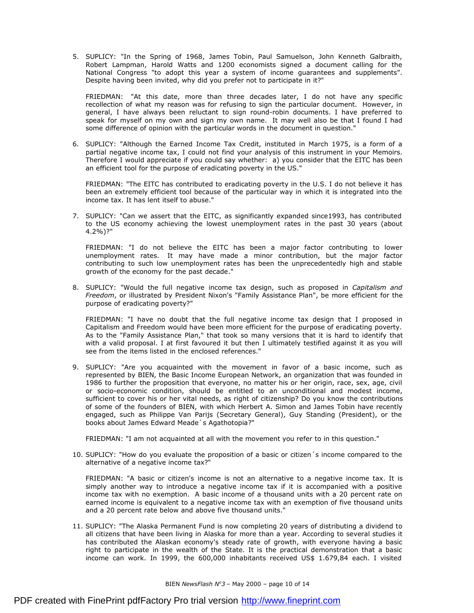5. SUPLICY: "In the Spring of 1968, James Tobin, Paul Samuelson, John Kenneth Galbraith, Robert Lampman, Harold Watts and 1200 economists signed a document calling for the National Congress "to adopt this year a system of income guarantees and supplements". Despite having been invited, why did you prefer not to participate in it?"

FRIEDMAN: "At this date, more than three decades later, I do not have any specific recollection of what my reason was for refusing to sign the particular document. However, in general, I have always been reluctant to sign round-robin documents. I have preferred to speak for myself on my own and sign my own name. It may well also be that I found I had some difference of opinion with the particular words in the document in question."

6. SUPLICY: "Although the Earned Income Tax Credit, instituted in March 1975, is a form of a partial negative income tax, I could not find your analysis of this instrument in your Memoirs. Therefore I would appreciate if you could say whether: a) you consider that the EITC has been an efficient tool for the purpose of eradicating poverty in the US."

FRIEDMAN: "The EITC has contributed to eradicating poverty in the U.S. I do not believe it has been an extremely efficient tool because of the particular way in which it is integrated into the income tax. It has lent itself to abuse."

7. SUPLICY: "Can we assert that the EITC, as significantly expanded since1993, has contributed to the US economy achieving the lowest unemployment rates in the past 30 years (about 4.2%)?"

FRIEDMAN: "I do not believe the EITC has been a major factor contributing to lower unemployment rates. It may have made a minor contribution, but the major factor contributing to such low unemployment rates has been the unprecedentedly high and stable growth of the economy for the past decade."

8. SUPLICY: "Would the full negative income tax design, such as proposed in *Capitalism and Freedom*, or illustrated by President Nixon's "Family Assistance Plan", be more efficient for the purpose of eradicating poverty?"

FRIEDMAN: "I have no doubt that the full negative income tax design that I proposed in Capitalism and Freedom would have been more efficient for the purpose of eradicating poverty. As to the "Family Assistance Plan," that took so many versions that it is hard to identify that with a valid proposal. I at first favoured it but then I ultimately testified against it as you will see from the items listed in the enclosed references."

9. SUPLICY: "Are you acquainted with the movement in favor of a basic income, such as represented by BIEN, the Basic Income European Network, an organization that was founded in 1986 to further the proposition that everyone, no matter his or her origin, race, sex, age, civil or socio-economic condition, should be entitled to an unconditional and modest income, sufficient to cover his or her vital needs, as right of citizenship? Do you know the contributions of some of the founders of BIEN, with which Herbert A. Simon and James Tobin have recently engaged, such as Philippe Van Parijs (Secretary General), Guy Standing (President), or the books about James Edward Meade`s Agathotopia?"

FRIEDMAN: "I am not acquainted at all with the movement you refer to in this question."

10. SUPLICY: "How do you evaluate the proposition of a basic or citizen´s income compared to the alternative of a negative income tax?"

FRIEDMAN: "A basic or citizen's income is not an alternative to a negative income tax. It is simply another way to introduce a negative income tax if it is accompanied with a positive income tax with no exemption. A basic income of a thousand units with a 20 percent rate on earned income is equivalent to a negative income tax with an exemption of five thousand units and a 20 percent rate below and above five thousand units."

11. SUPLICY: "The Alaska Permanent Fund is now completing 20 years of distributing a dividend to all citizens that have been living in Alaska for more than a year. According to several studies it has contributed the Alaskan economy's steady rate of growth, with everyone having a basic right to participate in the wealth of the State. It is the practical demonstration that a basic income can work. In 1999, the 600,000 inhabitants received US\$ 1.679,84 each. I visited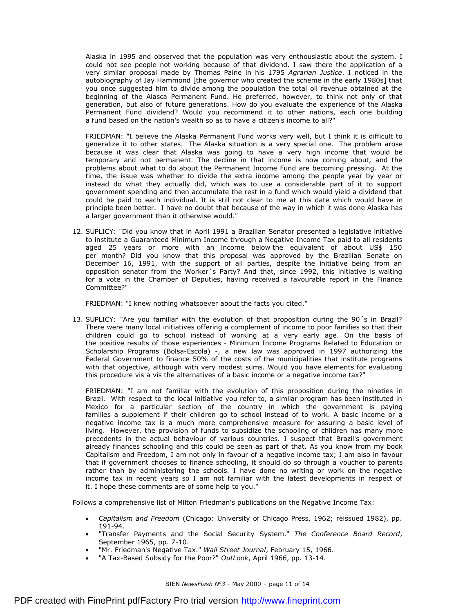Alaska in 1995 and observed that the population was very enthousiastic about the system. I could not see people not working because of that dividend. I saw there the application of a very similar proposal made by Thomas Paine in his 1795 *Agrarian Justice*. I noticed in the autobiography of Jay Hammond [the governor who created the scheme in the early 1980s] that you once suggested him to divide among the population the total oil revenue obtained at the beginning of the Alasca Permanent Fund. He preferred, however, to think not only of that generation, but also of future generations. How do you evaluate the experience of the Alaska Permanent Fund dividend? Would you recommend it to other nations, each one building a fund based on the nation's wealth so as to have a citizen's income to all?"

FRIEDMAN: "I believe the Alaska Permanent Fund works very well, but I think it is difficult to generalize it to other states. The Alaska situation is a very special one. The problem arose because it was clear that Alaska was going to have a very high income that would be temporary and not permanent. The decline in that income is now coming about, and the problems about what to do about the Permanent Income Fund are becoming pressing. At the time, the issue was whether to divide the extra income among the people year by year or instead do what they actually did, which was to use a considerable part of it to support government spending and then accumulate the rest in a fund which would yield a dividend that could be paid to each individual. It is still not clear to me at this date which would have in principle been better. I have no doubt that because of the way in which it was done Alaska has a larger government than it otherwise would."

12. SUPLICY: "Did you know that in April 1991 a Brazilian Senator presented a legislative initiative to institute a Guaranteed Minimum Income through a Negative Income Tax paid to all residents aged 25 years or more with an income below the equivalent of about US\$ 150 per month? Did you know that this proposal was approved by the Brazilian Senate on December 16, 1991, with the support of all parties, despite the initiative being from an opposition senator from the Worker´s Party? And that, since 1992, this initiative is waiting for a vote in the Chamber of Deputies, having received a favourable report in the Finance Committee?"

FRIEDMAN: "I knew nothing whatsoever about the facts you cited."

13. SUPLICY: "Are you familiar with the evolution of that proposition during the 90´s in Brazil? There were many local initiatives offering a complement of income to poor families so that their children could go to school instead of working at a very early age. On the basis of the positive results of those experiences - Minimum Income Programs Related to Education or Scholarship Programs (Bolsa-Escola) -, a new law was approved in 1997 authorizing the Federal Government to finance 50% of the costs of the municipalities that institute programs with that objective, although with very modest sums. Would you have elements for evaluating this procedure vis a vis the alternatives of a basic income or a negative income tax?"

FRIEDMAN: "I am not familiar with the evolution of this proposition during the nineties in Brazil. With respect to the local initiative you refer to, a similar program has been instituted in Mexico for a particular section of the country in which the government is paying families a supplement if their children go to school instead of to work. A basic income or a negative income tax is a much more comprehensive measure for assuring a basic level of living. However, the provision of funds to subsidize the schooling of children has many more precedents in the actual behaviour of various countries. I suspect that Brazil's government already finances schooling and this could be seen as part of that. As you know from my book Capitalism and Freedom, I am not only in favour of a negative income tax; I am also in favour that if government chooses to finance schooling, it should do so through a voucher to parents rather than by administering the schools. I have done no writing or work on the negative income tax in recent years so I am not familiar with the latest developments in respect of it. I hope these comments are of some help to you."

Follows a comprehensive list of Milton Friedman's publications on the Negative Income Tax:

- · *Capitalism and Freedom* (Chicago: University of Chicago Press, 1962; reissued 1982), pp. 191-94.
- · "Transfer Payments and the Social Security System." *The Conference Board Record*, September 1965, pp. 7-10.
- · "Mr. Friedman's Negative Tax." *Wall Street Journal*, February 15, 1966.
- · "A Tax-Based Subsidy for the Poor?" *OutLook*, April 1966, pp. 13-14.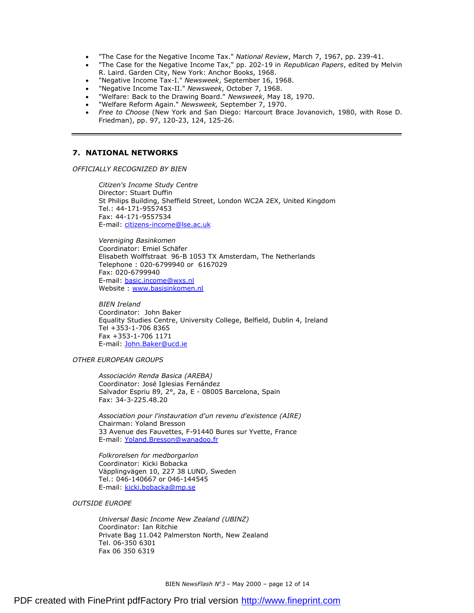- · "The Case for the Negative Income Tax." *National Review*, March 7, 1967, pp. 239-41.
- · "The Case for the Negative Income Tax," pp. 202-19 in *Republican Papers*, edited by Melvin R. Laird. Garden City, New York: Anchor Books, 1968.
- · "Negative Income Tax-I." *Newsweek*, September 16, 1968.
- · "Negative Income Tax-II." *Newsweek*, October 7, 1968.
- · "Welfare: Back to the Drawing Board." *Newsweek*, May 18, 1970.
- · "Welfare Reform Again." *Newsweek,* September 7, 1970.
- · *Free to Choose* (New York and San Diego: Harcourt Brace Jovanovich, 1980, with Rose D. Friedman), pp. 97, 120-23, 124, 125-26.

## **7. NATIONAL NETWORKS**

*OFFICIALLY RECOGNIZED BY BIEN* 

*Citizen's Income Study Centre*  Director: Stuart Duffin St Philips Building, Sheffield Street, London WC2A 2EX, United Kingdom Tel.: 44-171-9557453 Fax: 44-171-9557534 E-mail: [citizens-income@lse.ac.uk](mailto:citizens-income@lse.ac.uk)

*Vereniging Basinkomen*  Coordinator: Emiel Schäfer Elisabeth Wolffstraat 96-B 1053 TX Amsterdam, The Netherlands Telephone : 020-6799940 or 6167029 Fax: 020-6799940 E-mail: [basic.income@wxs.nl](mailto:basic.income@wxs.nl) Website : [www.basisinkomen.nl](http://www.basisinkomen.nl)

*BIEN Ireland*  Coordinator: John Baker Equality Studies Centre, University College, Belfield, Dublin 4, Ireland Tel +353-1-706 8365 Fax +353-1-706 1171 E-mail: [John.Baker@ucd.ie](mailto:John.Baker@ucd.ie)

#### *OTHER EUROPEAN GROUPS*

*Associación Renda Basica (AREBA)*  Coordinator: José Iglesias Fernández Salvador Espriu 89, 2°, 2a, E - 08005 Barcelona, Spain Fax: 34-3-225.48.20

*Association pour l'instauration d'un revenu d'existence (AIRE)*  Chairman: Yoland Bresson 33 Avenue des Fauvettes, F-91440 Bures sur Yvette, France E-mail: [Yoland.Bresson@wanadoo.fr](mailto:Yoland.Bresson@wanadoo.fr)

*Folkrorelsen for medborgarlon*  Coordinator: Kicki Bobacka Väpplingvägen 10, 227 38 LUND, Sweden Tel.: 046-140667 or 046-144545 E-mail: [kicki.bobacka@mp.se](mailto:kicki.bobacka@mp.se)

*OUTSIDE EUROPE* 

*Universal Basic Income New Zealand (UBINZ)*  Coordinator: Ian Ritchie Private Bag 11.042 Palmerston North, New Zealand Tel. 06-350 6301 Fax 06 350 6319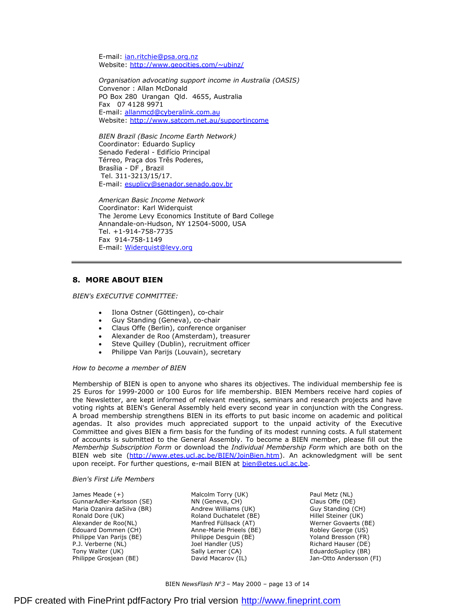E-mail: jan.ritchie@psa.org.nz Website: <http://www.geocities.com/~ubinz/>

*Organisation advocating support income in Australia (OASIS)*  Convenor : Allan McDonald PO Box 280 Urangan Qld. 4655, Australia Fax 07 4128 9971 E-mail: [allanmcd@cyberalink.com.au](mailto:allanmcd@cyberalink.com.au) Website: <http://www.satcom.net.au/supportincome>

*BIEN Brazil (Basic Income Earth Network)*  Coordinator: Eduardo Suplicy Senado Federal - Edifício Principal Térreo, Praça dos Três Poderes, Brasília - DF , Brazil Tel. 311-3213/15/17. E-mail: [esuplicy@senador.senado.gov.br](mailto:esuplicy@senador.senado.gov.br)

*American Basic Income Network*  Coordinator: Karl Widerquist The Jerome Levy Economics Institute of Bard College Annandale-on-Hudson, NY 12504-5000, USA Tel. +1-914-758-7735 Fax 914-758-1149 E-mail: [Widerquist@levy.org](mailto:Widerquist@levy.org)

## **8. MORE ABOUT BIEN**

*BIEN's EXECUTIVE COMMITTEE:* 

- Ilona Ostner (Göttingen), co-chair
- · Guy Standing (Geneva), co-chair
- · Claus Offe (Berlin), conference organiser
- · Alexander de Roo (Amsterdam), treasurer
- Steve Quilley (Dublin), recruitment officer
- Philippe Van Parijs (Louvain), secretary

*How to become a member of BIEN* 

Membership of BIEN is open to anyone who shares its objectives. The individual membership fee is 25 Euros for 1999-2000 or 100 Euros for life membership. BIEN Members receive hard copies of the Newsletter, are kept informed of relevant meetings, seminars and research projects and have voting rights at BIEN's General Assembly held every second year in conjunction with the Congress. A broad membership strengthens BIEN in its efforts to put basic income on academic and political agendas. It also provides much appreciated support to the unpaid activity of the Executive Committee and gives BIEN a firm basis for the funding of its modest running costs. A full statement of accounts is submitted to the General Assembly. To become a BIEN member, please fill out the *Memberhip Subscription Form* or download the *Individual Membership Form* which are both on the BIEN web site [\(http://www.etes.ucl.ac.be/BIEN/JoinBien.htm](http://www.etes.ucl.ac.be/BIEN/JoinBien.htm)). An acknowledgment will be sent upon receipt. For further questions, e-mail BIEN at [bien@etes.ucl.ac.be.](mailto:bien@etes.ucl.ac.be)

#### *Bien's First Life Members*

James Meade (+) GunnarAdler-Karlsson (SE) Maria Ozanira daSilva (BR) Ronald Dore (UK) Alexander de Roo(NL) Edouard Dommen (CH) Philippe Van Parijs (BE) P.J. Verberne (NL) Tony Walter (UK) Philippe Grosjean (BE)

Malcolm Torry (UK) NN (Geneva, CH) Andrew Williams (UK) Roland Duchatelet (BE) Manfred Füllsack (AT) Anne-Marie Prieels (BE) Philippe Desguin (BE) Joel Handler (US) Sally Lerner (CA) David Macarov (IL)

Paul Metz (NL) Claus Offe (DE) Guy Standing (CH) Hillel Steiner (UK) Werner Govaerts (BE) Robley George (US) Yoland Bresson (FR) Richard Hauser (DE) EduardoSuplicy (BR) Jan-Otto Andersson (FI)

BIEN *NewsFlash N<sup>o</sup>3* – May 2000 – page 13 of 14